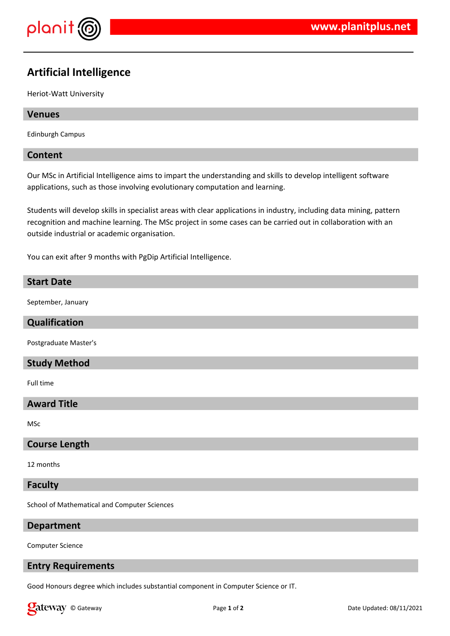

# **Artificial Intelligence**

Heriot-Watt University

#### **Venues**

Edinburgh Campus

### **Content**

Our MSc in Artificial Intelligence aims to impart the understanding and skills to develop intelligent software applications, such as those involving evolutionary computation and learning.

Students will develop skills in specialist areas with clear applications in industry, including data mining, pattern recognition and machine learning. The MSc project in some cases can be carried out in collaboration with an outside industrial or academic organisation.

You can exit after 9 months with PgDip Artificial Intelligence.

#### **Start Date**

September, January

## **Qualification**

Postgraduate Master's

### **Study Method**

Full time

# **Award Title**

MSc

#### **Course Length**

12 months

#### **Faculty**

School of Mathematical and Computer Sciences

#### **Department**

Computer Science

#### **Entry Requirements**

Good Honours degree which includes substantial component in Computer Science or IT.